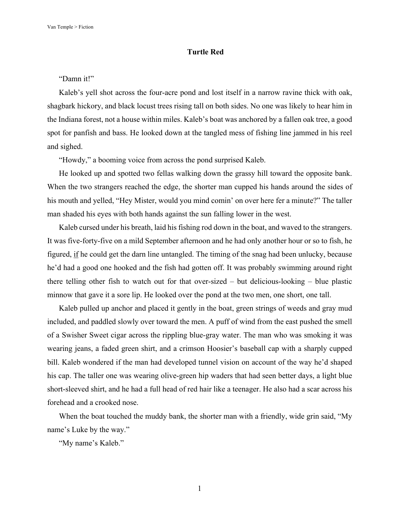## **Turtle Red**

## "Damn it!"

Kaleb's yell shot across the four-acre pond and lost itself in a narrow ravine thick with oak, shagbark hickory, and black locust trees rising tall on both sides. No one was likely to hear him in the Indiana forest, not a house within miles. Kaleb's boat was anchored by a fallen oak tree, a good spot for panfish and bass. He looked down at the tangled mess of fishing line jammed in his reel and sighed.

"Howdy," a booming voice from across the pond surprised Kaleb.

He looked up and spotted two fellas walking down the grassy hill toward the opposite bank. When the two strangers reached the edge, the shorter man cupped his hands around the sides of his mouth and yelled, "Hey Mister, would you mind comin' on over here fer a minute?" The taller man shaded his eyes with both hands against the sun falling lower in the west.

Kaleb cursed under his breath, laid his fishing rod down in the boat, and waved to the strangers. It was five-forty-five on a mild September afternoon and he had only another hour or so to fish, he figured,  $\frac{if}{if}$  he could get the darn line untangled. The timing of the snag had been unlucky, because he'd had a good one hooked and the fish had gotten off. It was probably swimming around right there telling other fish to watch out for that over-sized – but delicious-looking – blue plastic minnow that gave it a sore lip. He looked over the pond at the two men, one short, one tall.

Kaleb pulled up anchor and placed it gently in the boat, green strings of weeds and gray mud included, and paddled slowly over toward the men. A puff of wind from the east pushed the smell of a Swisher Sweet cigar across the rippling blue-gray water. The man who was smoking it was wearing jeans, a faded green shirt, and a crimson Hoosier's baseball cap with a sharply cupped bill. Kaleb wondered if the man had developed tunnel vision on account of the way he'd shaped his cap. The taller one was wearing olive-green hip waders that had seen better days, a light blue short-sleeved shirt, and he had a full head of red hair like a teenager. He also had a scar across his forehead and a crooked nose.

When the boat touched the muddy bank, the shorter man with a friendly, wide grin said, "My name's Luke by the way."

"My name's Kaleb."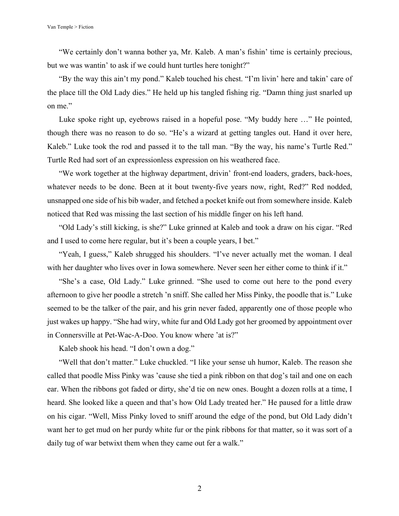"We certainly don't wanna bother ya, Mr. Kaleb. A man's fishin' time is certainly precious, but we was wantin' to ask if we could hunt turtles here tonight?"

"By the way this ain't my pond." Kaleb touched his chest. "I'm livin' here and takin' care of the place till the Old Lady dies." He held up his tangled fishing rig. "Damn thing just snarled up on me."

Luke spoke right up, eyebrows raised in a hopeful pose. "My buddy here …" He pointed, though there was no reason to do so. "He's a wizard at getting tangles out. Hand it over here, Kaleb." Luke took the rod and passed it to the tall man. "By the way, his name's Turtle Red." Turtle Red had sort of an expressionless expression on his weathered face.

"We work together at the highway department, drivin' front-end loaders, graders, back-hoes, whatever needs to be done. Been at it bout twenty-five years now, right, Red?" Red nodded, unsnapped one side of his bib wader, and fetched a pocket knife out from somewhere inside. Kaleb noticed that Red was missing the last section of his middle finger on his left hand.

"Old Lady's still kicking, is she?" Luke grinned at Kaleb and took a draw on his cigar. "Red and I used to come here regular, but it's been a couple years, I bet."

"Yeah, I guess," Kaleb shrugged his shoulders. "I've never actually met the woman. I deal with her daughter who lives over in Iowa somewhere. Never seen her either come to think if it."

"She's a case, Old Lady." Luke grinned. "She used to come out here to the pond every afternoon to give her poodle a stretch 'n sniff. She called her Miss Pinky, the poodle that is." Luke seemed to be the talker of the pair, and his grin never faded, apparently one of those people who just wakes up happy. "She had wiry, white fur and Old Lady got her groomed by appointment over in Connersville at Pet-Wac-A-Doo. You know where 'at is?"

Kaleb shook his head. "I don't own a dog."

"Well that don't matter." Luke chuckled. "I like your sense uh humor, Kaleb. The reason she called that poodle Miss Pinky was 'cause she tied a pink ribbon on that dog's tail and one on each ear. When the ribbons got faded or dirty, she'd tie on new ones. Bought a dozen rolls at a time, I heard. She looked like a queen and that's how Old Lady treated her." He paused for a little draw on his cigar. "Well, Miss Pinky loved to sniff around the edge of the pond, but Old Lady didn't want her to get mud on her purdy white fur or the pink ribbons for that matter, so it was sort of a daily tug of war betwixt them when they came out fer a walk."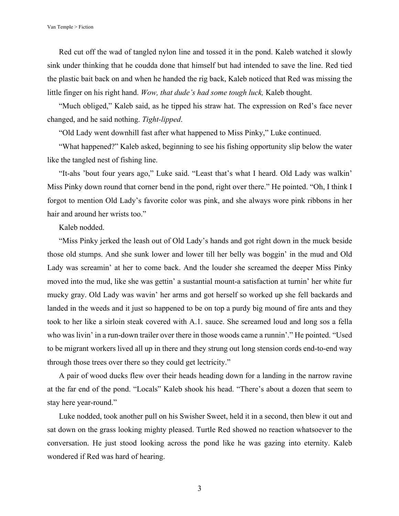Red cut off the wad of tangled nylon line and tossed it in the pond. Kaleb watched it slowly sink under thinking that he coudda done that himself but had intended to save the line. Red tied the plastic bait back on and when he handed the rig back, Kaleb noticed that Red was missing the little finger on his right hand. *Wow, that dude's had some tough luck,* Kaleb thought.

"Much obliged," Kaleb said, as he tipped his straw hat. The expression on Red's face never changed, and he said nothing. *Tight-lipped*.

"Old Lady went downhill fast after what happened to Miss Pinky," Luke continued.

"What happened?" Kaleb asked, beginning to see his fishing opportunity slip below the water like the tangled nest of fishing line.

"It-ahs 'bout four years ago," Luke said. "Least that's what I heard. Old Lady was walkin' Miss Pinky down round that corner bend in the pond, right over there." He pointed. "Oh, I think I forgot to mention Old Lady's favorite color was pink, and she always wore pink ribbons in her hair and around her wrists too."

Kaleb nodded.

"Miss Pinky jerked the leash out of Old Lady's hands and got right down in the muck beside those old stumps. And she sunk lower and lower till her belly was boggin' in the mud and Old Lady was screamin' at her to come back. And the louder she screamed the deeper Miss Pinky moved into the mud, like she was gettin' a sustantial mount-a satisfaction at turnin' her white fur mucky gray. Old Lady was wavin' her arms and got herself so worked up she fell backards and landed in the weeds and it just so happened to be on top a purdy big mound of fire ants and they took to her like a sirloin steak covered with A.1. sauce. She screamed loud and long sos a fella who was livin' in a run-down trailer over there in those woods came a runnin'." He pointed. "Used to be migrant workers lived all up in there and they strung out long stension cords end-to-end way through those trees over there so they could get lectricity."

A pair of wood ducks flew over their heads heading down for a landing in the narrow ravine at the far end of the pond. "Locals" Kaleb shook his head. "There's about a dozen that seem to stay here year-round."

Luke nodded, took another pull on his Swisher Sweet, held it in a second, then blew it out and sat down on the grass looking mighty pleased. Turtle Red showed no reaction whatsoever to the conversation. He just stood looking across the pond like he was gazing into eternity. Kaleb wondered if Red was hard of hearing.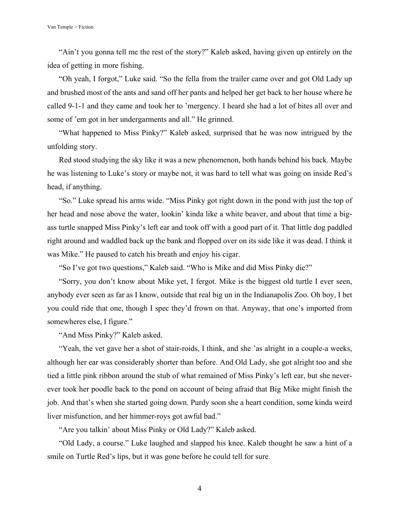"Ain't you gonna tell me the rest of the story?" Kaleb asked, having given up entirely on the idea of getting in more fishing.

"Oh yeah, I forgot," Luke said. "So the fella from the trailer came over and got Old Lady up and brushed most of the ants and sand off her pants and helped her get back to her house where he called 9-1-1 and they came and took her to 'mergency. I heard she had a lot of bites all over and some of 'em got in her undergarments and all." He grinned.

"What happened to Miss Pinky?" Kaleb asked, surprised that he was now intrigued by the unfolding story.

Red stood studying the sky like it was a new phenomenon, both hands behind his back. Maybe he was listening to Luke's story or maybe not, it was hard to tell what was going on inside Red's head, if anything.

"So." Luke spread his arms wide. "Miss Pinky got right down in the pond with just the top of her head and nose above the water, lookin' kinda like a white beaver, and about that time a bigass turtle snapped Miss Pinky's left ear and took off with a good part of it. That little dog paddled right around and waddled back up the bank and flopped over on its side like it was dead. I think it was Mike." He paused to catch his breath and enjoy his cigar.

"So I've got two questions," Kaleb said. "Who is Mike and did Miss Pinky die?"

"Sorry, you don't know about Mike yet, I fergot. Mike is the biggest old turtle I ever seen, anybody ever seen as far as I know, outside that real big un in the Indianapolis Zoo. Oh boy, I bet you could ride that one, though I spec they'd frown on that. Anyway, that one's imported from somewheres else, I figure."

"And Miss Pinky?" Kaleb asked.

"Yeah, the vet gave her a shot of stair-roids, I think, and she 'as alright in a couple-a weeks, although her ear was considerably shorter than before. And Old Lady, she got alright too and she tied a little pink ribbon around the stub of what remained of Miss Pinky's left ear, but she neverever took her poodle back to the pond on account of being afraid that Big Mike might finish the job. And that's when she started going down. Purdy soon she a heart condition, some kinda weird liver misfunction, and her himmer-roys got awful bad."

"Are you talkin' about Miss Pinky or Old Lady?" Kaleb asked.

"Old Lady, a course." Luke laughed and slapped his knee. Kaleb thought he saw a hint of a smile on Turtle Red's lips, but it was gone before he could tell for sure.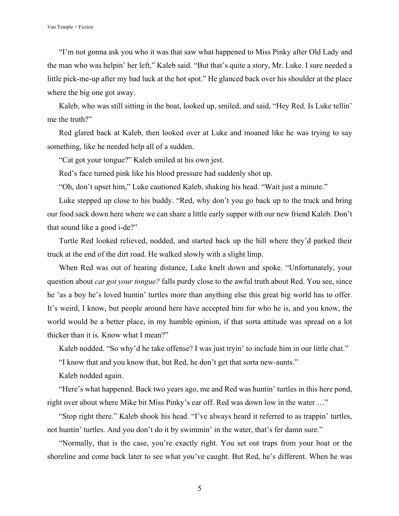"I'm not gonna ask you who it was that saw what happened to Miss Pinky after Old Lady and the man who was helpin' her left," Kaleb said. "But that's quite a story, Mr. Luke. I sure needed a little pick-me-up after my bad luck at the hot spot." He glanced back over his shoulder at the place where the big one got away.

Kaleb, who was still sitting in the boat, looked up, smiled, and said, "Hey Red. Is Luke tellin' me the truth?"

Red glared back at Kaleb, then looked over at Luke and moaned like he was trying to say something, like he needed help all of a sudden.

"Cat got your tongue?" Kaleb smiled at his own jest.

Red's face turned pink like his blood pressure had suddenly shot up.

"Oh, don't upset him," Luke cautioned Kaleb, shaking his head. "Wait just a minute."

Luke stepped up close to his buddy. "Red, why don't you go back up to the truck and bring our food sack down here where we can share a little early supper with our new friend Kaleb. Don't that sound like a good i-de?"

Turtle Red looked relieved, nodded, and started back up the hill where they'd parked their truck at the end of the dirt road. He walked slowly with a slight limp.

When Red was out of hearing distance, Luke knelt down and spoke. "Unfortunately, your question about *cat got your tongue?* falls purdy close to the awful truth about Red. You see, since he 'as a boy he's loved huntin' turtles more than anything else this great big world has to offer. It's weird, I know, but people around here have accepted him for who he is, and you know, the world would be a better place, in my humble opinion, if that sorta attitude was spread on a lot thicker than it is. Know what I mean?"

Kaleb nodded. "So why'd he take offense? I was just tryin' to include him in our little chat."

"I know that and you know that, but Red, he don't get that sorta new-aunts."

Kaleb nodded again.

"Here's what happened. Back two years ago, me and Red was huntin' turtles in this here pond, right over about where Mike bit Miss Pinky's ear off. Red was down low in the water …"

"Stop right there." Kaleb shook his head. "I've always heard it referred to as trappin' turtles, not huntin' turtles. And you don't do it by swimmin' in the water, that's fer damn sure."

"Normally, that is the case, you're exactly right. You set out traps from your boat or the shoreline and come back later to see what you've caught. But Red, he's different. When he was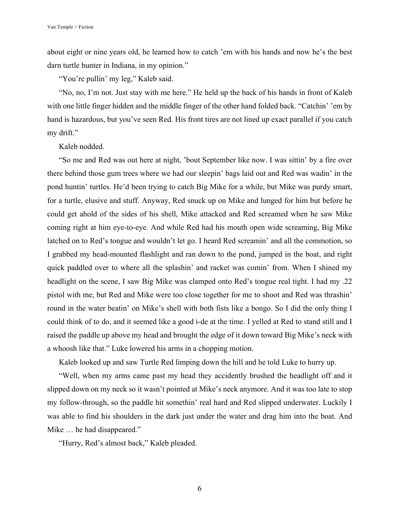about eight or nine years old, he learned how to catch 'em with his hands and now he's the best darn turtle hunter in Indiana, in my opinion."

"You're pullin' my leg," Kaleb said.

"No, no, I'm not. Just stay with me here." He held up the back of his hands in front of Kaleb with one little finger hidden and the middle finger of the other hand folded back. "Catchin' 'em by hand is hazardous, but you've seen Red. His front tires are not lined up exact parallel if you catch my drift."

Kaleb nodded.

"So me and Red was out here at night, 'bout September like now. I was sittin' by a fire over there behind those gum trees where we had our sleepin' bags laid out and Red was wadin' in the pond huntin' turtles. He'd been trying to catch Big Mike for a while, but Mike was purdy smart, for a turtle, elusive and stuff. Anyway, Red snuck up on Mike and lunged for him but before he could get ahold of the sides of his shell, Mike attacked and Red screamed when he saw Mike coming right at him eye-to-eye. And while Red had his mouth open wide screaming, Big Mike latched on to Red's tongue and wouldn't let go. I heard Red screamin' and all the commotion, so I grabbed my head-mounted flashlight and ran down to the pond, jumped in the boat, and right quick paddled over to where all the splashin' and racket was comin' from. When I shined my headlight on the scene, I saw Big Mike was clamped onto Red's tongue real tight. I had my .22 pistol with me, but Red and Mike were too close together for me to shoot and Red was thrashin' round in the water beatin' on Mike's shell with both fists like a bongo. So I did the only thing I could think of to do, and it seemed like a good i-de at the time. I yelled at Red to stand still and I raised the paddle up above my head and brought the edge of it down toward Big Mike's neck with a whoosh like that." Luke lowered his arms in a chopping motion.

Kaleb looked up and saw Turtle Red limping down the hill and he told Luke to hurry up.

"Well, when my arms came past my head they accidently brushed the headlight off and it slipped down on my neck so it wasn't pointed at Mike's neck anymore. And it was too late to stop my follow-through, so the paddle hit somethin' real hard and Red slipped underwater. Luckily I was able to find his shoulders in the dark just under the water and drag him into the boat. And Mike … he had disappeared."

"Hurry, Red's almost back," Kaleb pleaded.